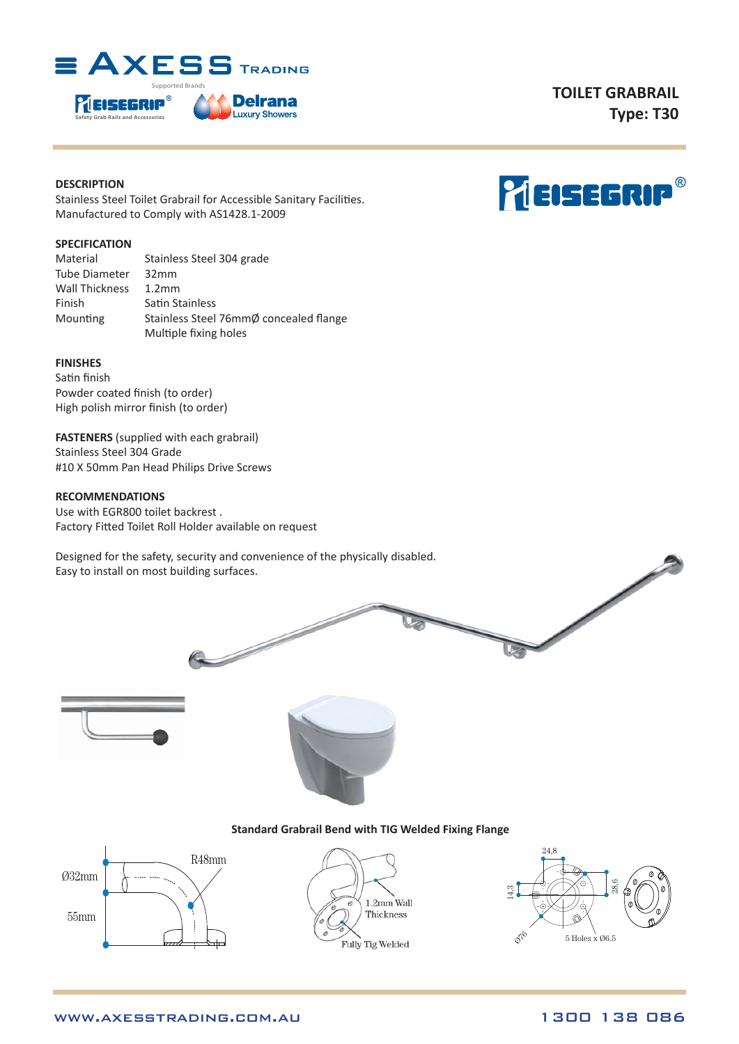

# **DESCRIPTION**

Stainless Steel Toilet Grabrail for Accessible Sanitary Facilities. Manufactured to Comply with AS1428.1-2009

## **SPECIFICATION**

| Material       | Stainless Steel 304 grade              |  |  |
|----------------|----------------------------------------|--|--|
| Tube Diameter  | 32mm                                   |  |  |
| Wall Thickness | 1.2 <sub>mm</sub>                      |  |  |
| Finish         | Satin Stainless                        |  |  |
| Mounting       | Stainless Steel 76mmØ concealed flange |  |  |
|                | Multiple fixing holes                  |  |  |

# **FINISHES**

Satin finish Powder coated finish (to order) High polish mirror finish (to order)

**FASTENERS** (supplied with each grabrail) Stainless Steel 304 Grade #10 X 50mm Pan Head Philips Drive Screws

## **RECOMMENDATIONS**

Use with EGR800 toilet backrest . Factory Fitted Toilet Roll Holder available on request

Designed for the safety, security and convenience of the physically disabled. Easy to install on most building surfaces.

D





### **Standard Grabrail Bend with TIG Welded Fixing Flange**